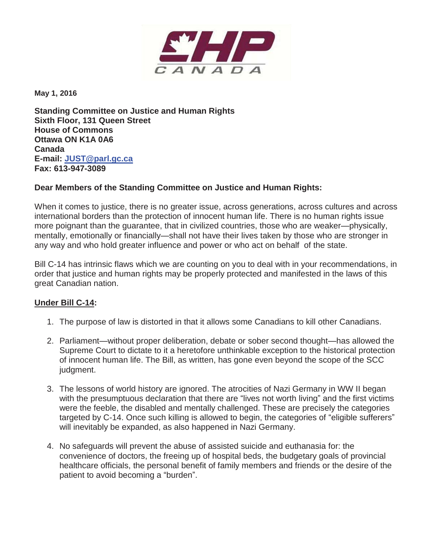

**May 1, 2016** 

**Standing Committee on Justice and Human Rights Sixth Floor, 131 Queen Street House of Commons Ottawa ON K1A 0A6 Canada E-mail: JUST@parl.gc.ca Fax: 613-947-3089** 

## **Dear Members of the Standing Committee on Justice and Human Rights:**

When it comes to justice, there is no greater issue, across generations, across cultures and across international borders than the protection of innocent human life. There is no human rights issue more poignant than the guarantee, that in civilized countries, those who are weaker—physically, mentally, emotionally or financially—shall not have their lives taken by those who are stronger in any way and who hold greater influence and power or who act on behalf of the state.

Bill C-14 has intrinsic flaws which we are counting on you to deal with in your recommendations, in order that justice and human rights may be properly protected and manifested in the laws of this great Canadian nation.

## **Under Bill C-14:**

- 1. The purpose of law is distorted in that it allows some Canadians to kill other Canadians.
- 2. Parliament—without proper deliberation, debate or sober second thought—has allowed the Supreme Court to dictate to it a heretofore unthinkable exception to the historical protection of innocent human life. The Bill, as written, has gone even beyond the scope of the SCC judgment.
- 3. The lessons of world history are ignored. The atrocities of Nazi Germany in WW II began with the presumptuous declaration that there are "lives not worth living" and the first victims were the feeble, the disabled and mentally challenged. These are precisely the categories targeted by C-14. Once such killing is allowed to begin, the categories of "eligible sufferers" will inevitably be expanded, as also happened in Nazi Germany.
- 4. No safeguards will prevent the abuse of assisted suicide and euthanasia for: the convenience of doctors, the freeing up of hospital beds, the budgetary goals of provincial healthcare officials, the personal benefit of family members and friends or the desire of the patient to avoid becoming a "burden".